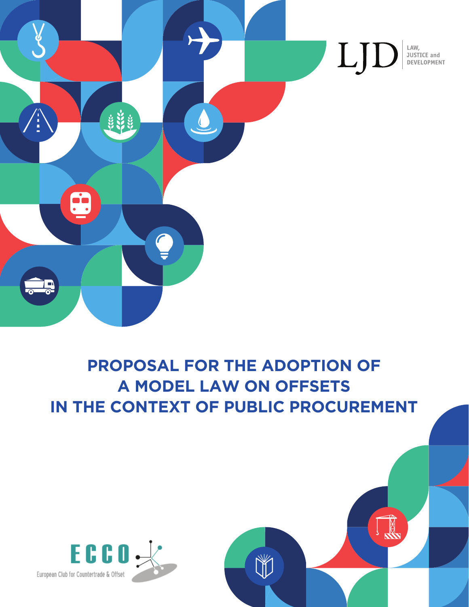

## **PROPOSAL FOR THE ADOPTION OF A MODEL LAW ON OFFSETS IN THE CONTEXT OF PUBLIC PROCUREMENT**

NY

**INSTANT** 

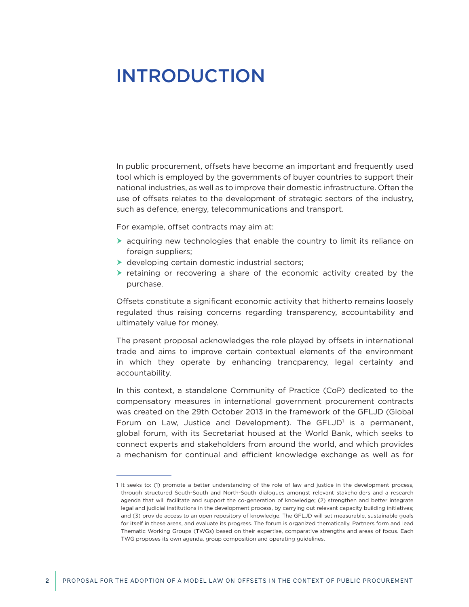## <span id="page-1-0"></span>INTRODUCTION

In public procurement, offsets have become an important and frequently used tool which is employed by the governments of buyer countries to support their national industries, as well as to improve their domestic infrastructure. Often the use of offsets relates to the development of strategic sectors of the industry, such as defence, energy, telecommunications and transport.

For example, offset contracts may aim at:

- $\triangleright$  acquiring new technologies that enable the country to limit its reliance on foreign suppliers;
- $\triangleright$  developing certain domestic industrial sectors;
- $\triangleright$  retaining or recovering a share of the economic activity created by the purchase.

Offsets constitute a significant economic activity that hitherto remains loosely regulated thus raising concerns regarding transparency, accountability and ultimately value for money.

The present proposal acknowledges the role played by offsets in international trade and aims to improve certain contextual elements of the environment in which they operate by enhancing trancparency, legal certainty and accountability.

In this context, a standalone Community of Practice (CoP) dedicated to the compensatory measures in international government procurement contracts was created on the 29th October 2013 in the framework of the GFLJD (Global Forum on Law, Justice and Development). The GFLJD<sup>1</sup> is a permanent, global forum, with its Secretariat housed at the World Bank, which seeks to connect experts and stakeholders from around the world, and which provides a mechanism for continual and efficient knowledge exchange as well as for

<sup>1</sup> It seeks to: (1) promote a better understanding of the role of law and justice in the development process, through structured South-South and North-South dialogues amongst relevant stakeholders and a research agenda that will facilitate and support the co-generation of knowledge; (2) strengthen and better integrate legal and judicial institutions in the development process, by carrying out relevant capacity building initiatives; and (3) provide access to an open repository of knowledge. The GFLJD will set measurable, sustainable goals for itself in these areas, and evaluate its progress. The forum is organized thematically. Partners form and lead Thematic Working Groups (TWGs) based on their expertise, comparative strengths and areas of focus. Each TWG proposes its own agenda, group composition and operating guidelines.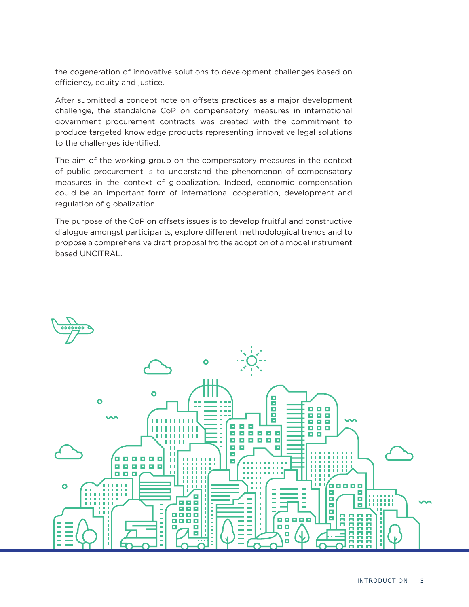the cogeneration of innovative solutions to development challenges based on efficiency, equity and justice.

After submitted a concept note on offsets practices as a major development challenge, the standalone CoP on compensatory measures in international government procurement contracts was created with the commitment to produce targeted knowledge products representing innovative legal solutions to the challenges identified.

The aim of the working group on the compensatory measures in the context of public procurement is to understand the phenomenon of compensatory measures in the context of globalization. Indeed, economic compensation could be an important form of international cooperation, development and regulation of globalization.

The purpose of the CoP on offsets issues is to develop fruitful and constructive dialogue amongst participants, explore different methodological trends and to propose a comprehensive draft proposal fro the adoption of a model instrument based UNCITRAL.

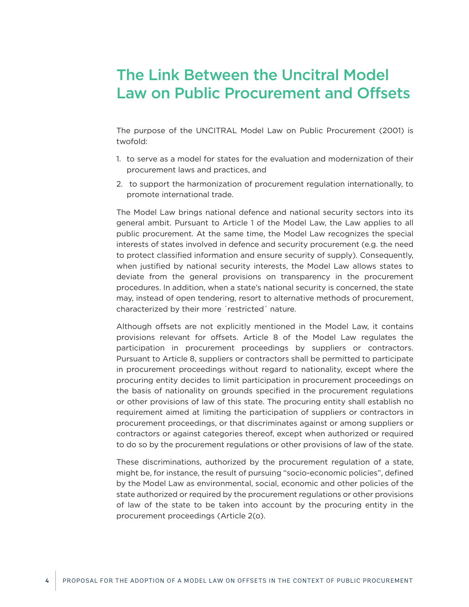## The Link Between the Uncitral Model Law on Public Procurement and Offsets

The purpose of the UNCITRAL Model Law on Public Procurement (2001) is twofold:

- 1. to serve as a model for states for the evaluation and modernization of their procurement laws and practices, and
- 2. to support the harmonization of procurement regulation internationally, to promote international trade.

The Model Law brings national defence and national security sectors into its general ambit. Pursuant to Article 1 of the Model Law, the Law applies to all public procurement. At the same time, the Model Law recognizes the special interests of states involved in defence and security procurement (e.g. the need to protect classified information and ensure security of supply). Consequently, when justified by national security interests, the Model Law allows states to deviate from the general provisions on transparency in the procurement procedures. In addition, when a state's national security is concerned, the state may, instead of open tendering, resort to alternative methods of procurement, characterized by their more ´restricted´ nature.

Although offsets are not explicitly mentioned in the Model Law, it contains provisions relevant for offsets. Article 8 of the Model Law regulates the participation in procurement proceedings by suppliers or contractors. Pursuant to Article 8, suppliers or contractors shall be permitted to participate in procurement proceedings without regard to nationality, except where the procuring entity decides to limit participation in procurement proceedings on the basis of nationality on grounds specified in the procurement regulations or other provisions of law of this state. The procuring entity shall establish no requirement aimed at limiting the participation of suppliers or contractors in procurement proceedings, or that discriminates against or among suppliers or contractors or against categories thereof, except when authorized or required to do so by the procurement regulations or other provisions of law of the state.

These discriminations, authorized by the procurement regulation of a state, might be, for instance, the result of pursuing "socio-economic policies", defined by the Model Law as environmental, social, economic and other policies of the state authorized or required by the procurement regulations or other provisions of law of the state to be taken into account by the procuring entity in the procurement proceedings (Article 2(o).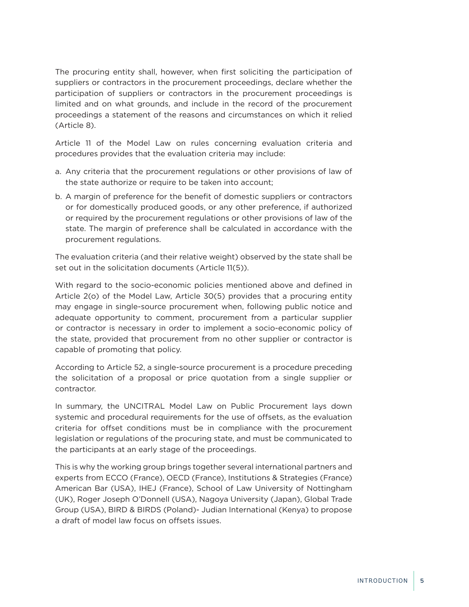The procuring entity shall, however, when first soliciting the participation of suppliers or contractors in the procurement proceedings, declare whether the participation of suppliers or contractors in the procurement proceedings is limited and on what grounds, and include in the record of the procurement proceedings a statement of the reasons and circumstances on which it relied (Article 8).

Article 11 of the Model Law on rules concerning evaluation criteria and procedures provides that the evaluation criteria may include:

- a. Any criteria that the procurement regulations or other provisions of law of the state authorize or require to be taken into account;
- b. A margin of preference for the benefit of domestic suppliers or contractors or for domestically produced goods, or any other preference, if authorized or required by the procurement regulations or other provisions of law of the state. The margin of preference shall be calculated in accordance with the procurement regulations.

The evaluation criteria (and their relative weight) observed by the state shall be set out in the solicitation documents (Article 11(5)).

With regard to the socio-economic policies mentioned above and defined in Article 2(o) of the Model Law, Article 30(5) provides that a procuring entity may engage in single-source procurement when, following public notice and adequate opportunity to comment, procurement from a particular supplier or contractor is necessary in order to implement a socio-economic policy of the state, provided that procurement from no other supplier or contractor is capable of promoting that policy.

According to Article 52, a single-source procurement is a procedure preceding the solicitation of a proposal or price quotation from a single supplier or contractor.

In summary, the UNCITRAL Model Law on Public Procurement lays down systemic and procedural requirements for the use of offsets, as the evaluation criteria for offset conditions must be in compliance with the procurement legislation or regulations of the procuring state, and must be communicated to the participants at an early stage of the proceedings.

This is why the working group brings together several international partners and experts from ECCO (France), OECD (France), Institutions & Strategies (France) American Bar (USA), IHEJ (France), School of Law University of Nottingham (UK), Roger Joseph O'Donnell (USA), Nagoya University (Japan), Global Trade Group (USA), BIRD & BIRDS (Poland)- Judian International (Kenya) to propose a draft of model law focus on offsets issues.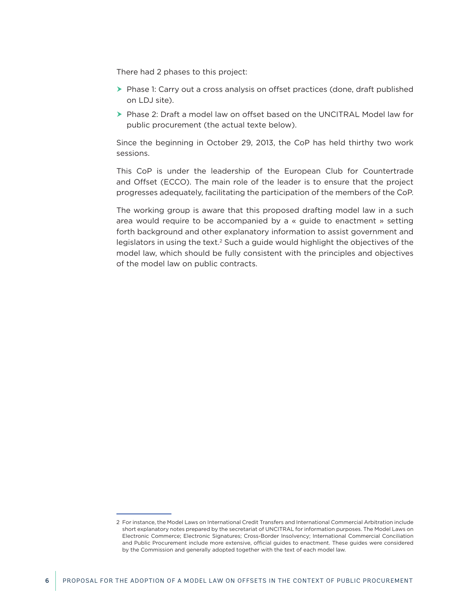There had 2 phases to this project:

- $\triangleright$  Phase 1: Carry out a cross analysis on offset practices (done, draft published on LDJ site).
- ▶ Phase 2: Draft a model law on offset based on the UNCITRAL Model law for public procurement (the actual texte below).

Since the beginning in October 29, 2013, the CoP has held thirthy two work sessions.

This CoP is under the leadership of the European Club for Countertrade and Offset (ECCO). The main role of the leader is to ensure that the project progresses adequately, facilitating the participation of the members of the CoP.

The working group is aware that this proposed drafting model law in a such area would require to be accompanied by a « guide to enactment » setting forth background and other explanatory information to assist government and legislators in using the text.2 Such a guide would highlight the objectives of the model law, which should be fully consistent with the principles and objectives of the model law on public contracts.

<sup>2</sup> For instance, the Model Laws on International Credit Transfers and International Commercial Arbitration include short explanatory notes prepared by the secretariat of UNCITRAL for information purposes. The Model Laws on Electronic Commerce; Electronic Signatures; Cross-Border Insolvency; International Commercial Conciliation and Public Procurement include more extensive, official guides to enactment. These guides were considered by the Commission and generally adopted together with the text of each model law.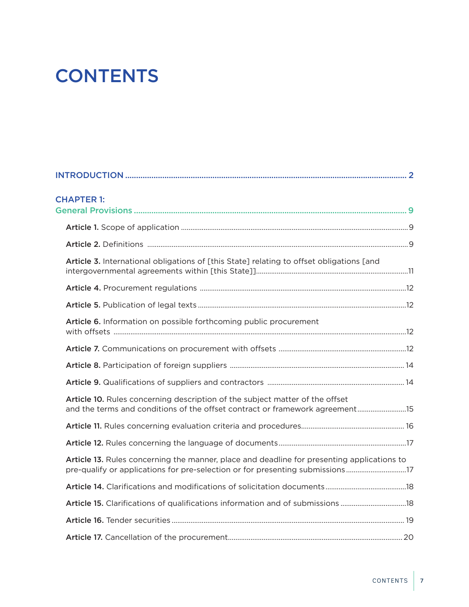# **CONTENTS**

| <b>CHAPTER 1:</b>                                                                                                                                            |  |
|--------------------------------------------------------------------------------------------------------------------------------------------------------------|--|
|                                                                                                                                                              |  |
|                                                                                                                                                              |  |
| Article 3. International obligations of [this State] relating to offset obligations [and                                                                     |  |
|                                                                                                                                                              |  |
|                                                                                                                                                              |  |
| Article 6. Information on possible forthcoming public procurement                                                                                            |  |
|                                                                                                                                                              |  |
|                                                                                                                                                              |  |
|                                                                                                                                                              |  |
| Article 10. Rules concerning description of the subject matter of the offset<br>and the terms and conditions of the offset contract or framework agreement15 |  |
|                                                                                                                                                              |  |
|                                                                                                                                                              |  |
| Article 13. Rules concerning the manner, place and deadline for presenting applications to                                                                   |  |
|                                                                                                                                                              |  |
| Article 15. Clarifications of qualifications information and of submissions 18                                                                               |  |
|                                                                                                                                                              |  |
|                                                                                                                                                              |  |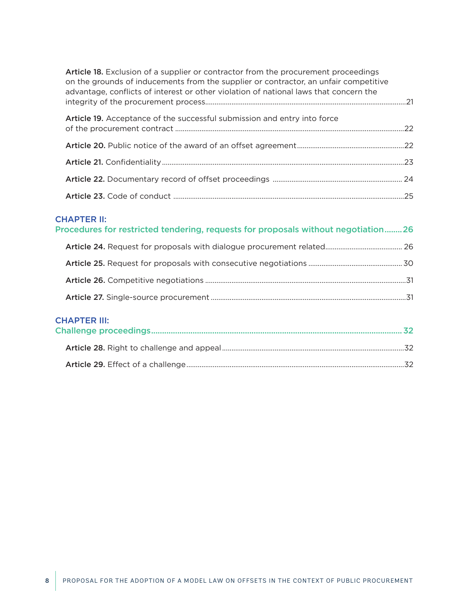| Article 18. Exclusion of a supplier or contractor from the procurement proceedings<br>on the grounds of inducements from the supplier or contractor, an unfair competitive<br>advantage, conflicts of interest or other violation of national laws that concern the |  |
|---------------------------------------------------------------------------------------------------------------------------------------------------------------------------------------------------------------------------------------------------------------------|--|
| Article 19. Acceptance of the successful submission and entry into force                                                                                                                                                                                            |  |
|                                                                                                                                                                                                                                                                     |  |
|                                                                                                                                                                                                                                                                     |  |
|                                                                                                                                                                                                                                                                     |  |
|                                                                                                                                                                                                                                                                     |  |

## [CHAPTER II:](#page-25-0)

## [Procedures for restricted tendering, requests for proposals without negotiation........26](#page-25-0)

## [CHAPTER III:](#page-31-0)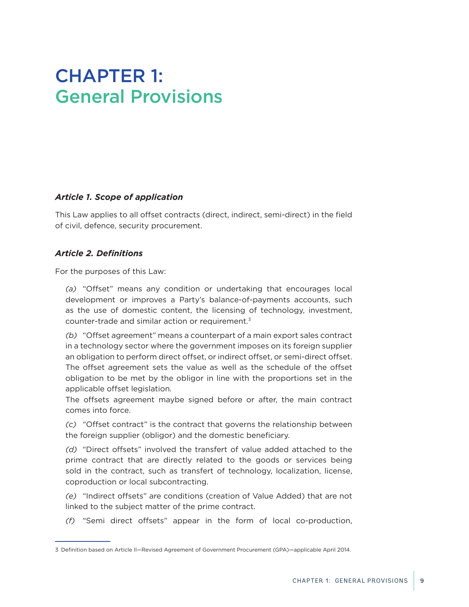## <span id="page-8-0"></span>CHAPTER 1: General Provisions

### *Article 1. Scope of application*

This Law applies to all offset contracts (direct, indirect, semi-direct) in the field of civil, defence, security procurement.

## *Article 2. Definitions*

For the purposes of this Law:

*(a)* "Offset" means any condition or undertaking that encourages local development or improves a Party's balance-of-payments accounts, such as the use of domestic content, the licensing of technology, investment, counter-trade and similar action or requirement.3

*(b)* "Offset agreement" means a counterpart of a main export sales contract in a technology sector where the government imposes on its foreign supplier an obligation to perform direct offset, or indirect offset, or semi-direct offset. The offset agreement sets the value as well as the schedule of the offset obligation to be met by the obligor in line with the proportions set in the applicable offset legislation.

The offsets agreement maybe signed before or after, the main contract comes into force.

*(c)* "Offset contract" is the contract that governs the relationship between the foreign supplier (obligor) and the domestic beneficiary.

*(d)* "Direct offsets" involved the transfert of value added attached to the prime contract that are directly related to the goods or services being sold in the contract, such as transfert of technology, localization, license, coproduction or local subcontracting.

*(e)* "Indirect offsets" are conditions (creation of Value Added) that are not linked to the subject matter of the prime contract.

*(f)* "Semi direct offsets" appear in the form of local co-production,

<sup>3</sup> Definition based on Article Il—Revised Agreement of Government Procurement (GPA)—applicable April 2014.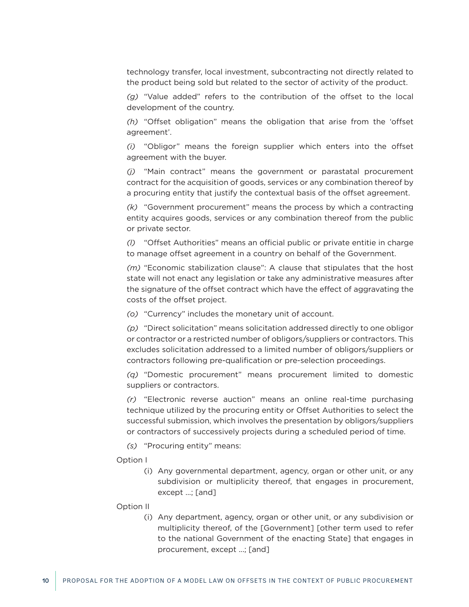technology transfer, local investment, subcontracting not directly related to the product being sold but related to the sector of activity of the product.

*(g)* "Value added" refers to the contribution of the offset to the local development of the country.

*(h)* "Offset obligation" means the obligation that arise from the 'offset agreement'.

*(i)* "Obligor" means the foreign supplier which enters into the offset agreement with the buyer.

*(j)* "Main contract" means the government or parastatal procurement contract for the acquisition of goods, services or any combination thereof by a procuring entity that justify the contextual basis of the offset agreement.

*(k)* "Government procurement" means the process by which a contracting entity acquires goods, services or any combination thereof from the public or private sector.

*(l)* "Offset Authorities" means an official public or private entitie in charge to manage offset agreement in a country on behalf of the Government.

*(m)* "Economic stabilization clause": A clause that stipulates that the host state will not enact any legislation or take any administrative measures after the signature of the offset contract which have the effect of aggravating the costs of the offset project.

*(o)* "Currency" includes the monetary unit of account.

*(p)* "Direct solicitation" means solicitation addressed directly to one obligor or contractor or a restricted number of obligors/suppliers or contractors. This excludes solicitation addressed to a limited number of obligors/suppliers or contractors following pre-qualification or pre-selection proceedings.

*(q)* "Domestic procurement" means procurement limited to domestic suppliers or contractors.

*(r)* "Electronic reverse auction" means an online real-time purchasing technique utilized by the procuring entity or Offset Authorities to select the successful submission, which involves the presentation by obligors/suppliers or contractors of successively projects during a scheduled period of time.

*(s)* "Procuring entity" means:

#### Option I

(i) Any governmental department, agency, organ or other unit, or any subdivision or multiplicity thereof, that engages in procurement, except ...; [and]

Option II

(i) Any department, agency, organ or other unit, or any subdivision or multiplicity thereof, of the [Government] [other term used to refer to the national Government of the enacting State] that engages in procurement, except ...; [and]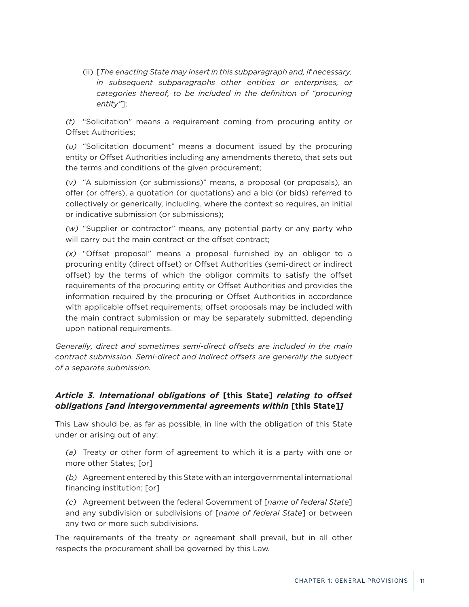<span id="page-10-0"></span>(ii) [*The enacting State may insert in this subparagraph and, if necessary, in subsequent subparagraphs other entities or enterprises, or categories thereof, to be included in the definition of "procuring entity"*];

*(t)* "Solicitation" means a requirement coming from procuring entity or Offset Authorities;

*(u)* "Solicitation document" means a document issued by the procuring entity or Offset Authorities including any amendments thereto, that sets out the terms and conditions of the given procurement;

*(v)* "A submission (or submissions)" means, a proposal (or proposals), an offer (or offers), a quotation (or quotations) and a bid (or bids) referred to collectively or generically, including, where the context so requires, an initial or indicative submission (or submissions);

*(w)* "Supplier or contractor" means, any potential party or any party who will carry out the main contract or the offset contract;

*(x)* "Offset proposal" means a proposal furnished by an obligor to a procuring entity (direct offset) or Offset Authorities (semi-direct or indirect offset) by the terms of which the obligor commits to satisfy the offset requirements of the procuring entity or Offset Authorities and provides the information required by the procuring or Offset Authorities in accordance with applicable offset requirements; offset proposals may be included with the main contract submission or may be separately submitted, depending upon national requirements.

*Generally, direct and sometimes semi-direct offsets are included in the main contract submission. Semi-direct and Indirect offsets are generally the subject of a separate submission.*

## *Article 3. International obligations of* **[this State]** *relating to offset obligations [and intergovernmental agreements within* **[this State]***]*

This Law should be, as far as possible, in line with the obligation of this State under or arising out of any:

*(a)* Treaty or other form of agreement to which it is a party with one or more other States; [or]

*(b)* Agreement entered by this State with an intergovernmental international financing institution; [or]

*(c)* Agreement between the federal Government of [*name of federal State*] and any subdivision or subdivisions of [*name of federal State*] or between any two or more such subdivisions.

The requirements of the treaty or agreement shall prevail, but in all other respects the procurement shall be governed by this Law.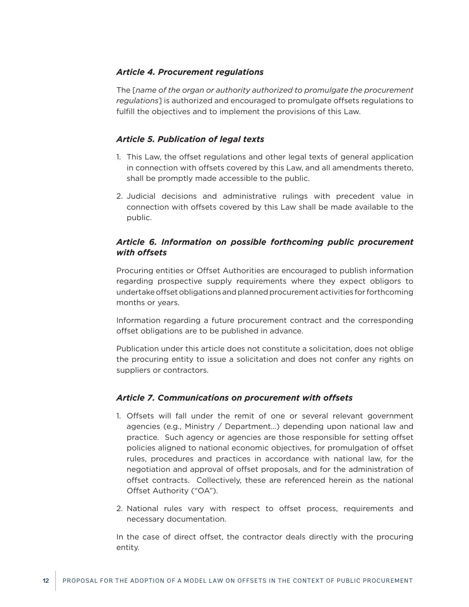### <span id="page-11-0"></span>*Article 4. Procurement regulations*

The [*name of the organ or authority authorized to promulgate the procurement regulations*] is authorized and encouraged to promulgate offsets regulations to fulfill the objectives and to implement the provisions of this Law.

## *Article 5. Publication of legal texts*

- 1. This Law, the offset regulations and other legal texts of general application in connection with offsets covered by this Law, and all amendments thereto, shall be promptly made accessible to the public.
- 2. Judicial decisions and administrative rulings with precedent value in connection with offsets covered by this Law shall be made available to the public.

## *Article 6. Information on possible forthcoming public procurement with offsets*

Procuring entities or Offset Authorities are encouraged to publish information regarding prospective supply requirements where they expect obligors to undertake offset obligations and planned procurement activities for forthcoming months or years.

Information regarding a future procurement contract and the corresponding offset obligations are to be published in advance.

Publication under this article does not constitute a solicitation, does not oblige the procuring entity to issue a solicitation and does not confer any rights on suppliers or contractors.

### *Article 7. Communications on procurement with offsets*

- 1. Offsets will fall under the remit of one or several relevant government agencies (e.g., Ministry / Department…) depending upon national law and practice. Such agency or agencies are those responsible for setting offset policies aligned to national economic objectives, for promulgation of offset rules, procedures and practices in accordance with national law, for the negotiation and approval of offset proposals, and for the administration of offset contracts. Collectively, these are referenced herein as the national Offset Authority ("OA").
- 2. National rules vary with respect to offset process, requirements and necessary documentation.

In the case of direct offset, the contractor deals directly with the procuring entity.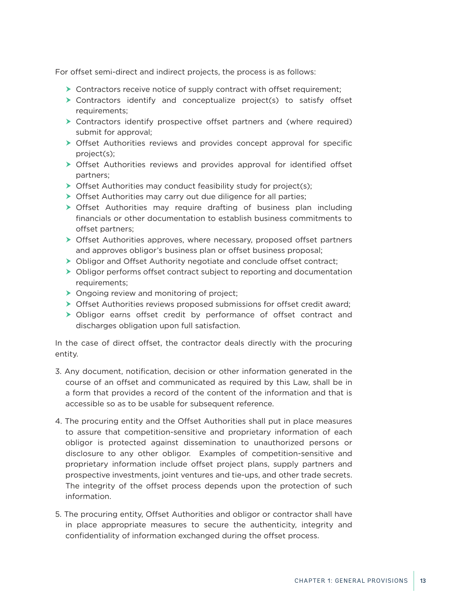For offset semi-direct and indirect projects, the process is as follows:

- $\triangleright$  Contractors receive notice of supply contract with offset requirement;
- $\triangleright$  Contractors identify and conceptualize project(s) to satisfy offset requirements;
- $\triangleright$  Contractors identify prospective offset partners and (where required) submit for approval;
- $\triangleright$  Offset Authorities reviews and provides concept approval for specific project(s);
- **>** Offset Authorities reviews and provides approval for identified offset partners;
- $\triangleright$  Offset Authorities may conduct feasibility study for project(s);
- $\triangleright$  Offset Authorities may carry out due diligence for all parties;
- $\triangleright$  Offset Authorities may require drafting of business plan including financials or other documentation to establish business commitments to offset partners;
- $\triangleright$  Offset Authorities approves, where necessary, proposed offset partners and approves obligor's business plan or offset business proposal;
- ▶ Obligor and Offset Authority negotiate and conclude offset contract;
- $\triangleright$  Obligor performs offset contract subject to reporting and documentation requirements;
- $\triangleright$  Ongoing review and monitoring of project;
- $\triangleright$  Offset Authorities reviews proposed submissions for offset credit award;
- $\triangleright$  Obligor earns offset credit by performance of offset contract and discharges obligation upon full satisfaction.

In the case of direct offset, the contractor deals directly with the procuring entity.

- 3. Any document, notification, decision or other information generated in the course of an offset and communicated as required by this Law, shall be in a form that provides a record of the content of the information and that is accessible so as to be usable for subsequent reference.
- 4. The procuring entity and the Offset Authorities shall put in place measures to assure that competition-sensitive and proprietary information of each obligor is protected against dissemination to unauthorized persons or disclosure to any other obligor. Examples of competition-sensitive and proprietary information include offset project plans, supply partners and prospective investments, joint ventures and tie-ups, and other trade secrets. The integrity of the offset process depends upon the protection of such information.
- 5. The procuring entity, Offset Authorities and obligor or contractor shall have in place appropriate measures to secure the authenticity, integrity and confidentiality of information exchanged during the offset process.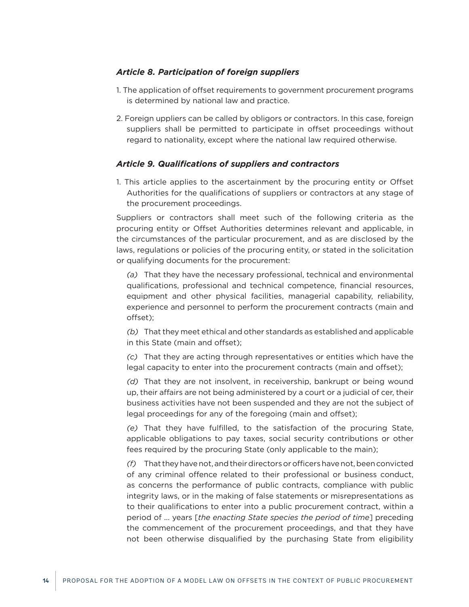#### <span id="page-13-0"></span>*Article 8. Participation of foreign suppliers*

- 1. The application of offset requirements to government procurement programs is determined by national law and practice.
- 2. Foreign uppliers can be called by obligors or contractors. In this case, foreign suppliers shall be permitted to participate in offset proceedings without regard to nationality, except where the national law required otherwise.

#### *Article 9. Qualifications of suppliers and contractors*

1. This article applies to the ascertainment by the procuring entity or Offset Authorities for the qualifications of suppliers or contractors at any stage of the procurement proceedings.

Suppliers or contractors shall meet such of the following criteria as the procuring entity or Offset Authorities determines relevant and applicable, in the circumstances of the particular procurement, and as are disclosed by the laws, regulations or policies of the procuring entity, or stated in the solicitation or qualifying documents for the procurement:

*(a)* That they have the necessary professional, technical and environmental qualifications, professional and technical competence, financial resources, equipment and other physical facilities, managerial capability, reliability, experience and personnel to perform the procurement contracts (main and offset);

*(b)* That they meet ethical and other standards as established and applicable in this State (main and offset);

*(c)* That they are acting through representatives or entities which have the legal capacity to enter into the procurement contracts (main and offset);

*(d)* That they are not insolvent, in receivership, bankrupt or being wound up, their affairs are not being administered by a court or a judicial of cer, their business activities have not been suspended and they are not the subject of legal proceedings for any of the foregoing (main and offset);

*(e)* That they have fulfilled, to the satisfaction of the procuring State, applicable obligations to pay taxes, social security contributions or other fees required by the procuring State (only applicable to the main);

*(f)* That they have not, and their directors or officers have not, been convicted of any criminal offence related to their professional or business conduct, as concerns the performance of public contracts, compliance with public integrity laws, or in the making of false statements or misrepresentations as to their qualifications to enter into a public procurement contract, within a period of ... years [*the enacting State species the period of time*] preceding the commencement of the procurement proceedings, and that they have not been otherwise disqualified by the purchasing State from eligibility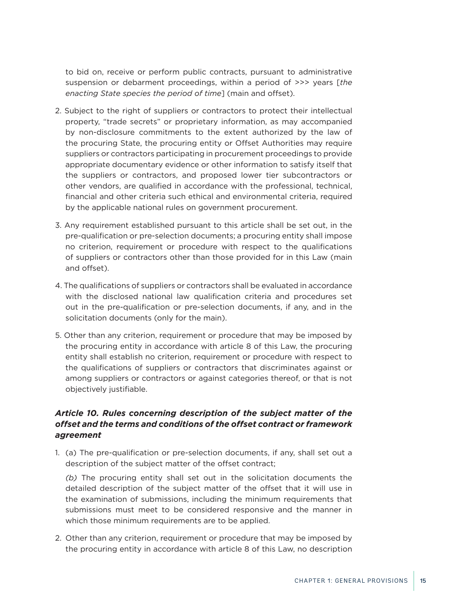<span id="page-14-0"></span>to bid on, receive or perform public contracts, pursuant to administrative suspension or debarment proceedings, within a period of >>> years [*the enacting State species the period of time*] (main and offset).

- 2. Subject to the right of suppliers or contractors to protect their intellectual property, "trade secrets" or proprietary information, as may accompanied by non-disclosure commitments to the extent authorized by the law of the procuring State, the procuring entity or Offset Authorities may require suppliers or contractors participating in procurement proceedings to provide appropriate documentary evidence or other information to satisfy itself that the suppliers or contractors, and proposed lower tier subcontractors or other vendors, are qualified in accordance with the professional, technical, financial and other criteria such ethical and environmental criteria, required by the applicable national rules on government procurement.
- 3. Any requirement established pursuant to this article shall be set out, in the pre-qualification or pre-selection documents; a procuring entity shall impose no criterion, requirement or procedure with respect to the qualifications of suppliers or contractors other than those provided for in this Law (main and offset).
- 4. The qualifications of suppliers or contractors shall be evaluated in accordance with the disclosed national law qualification criteria and procedures set out in the pre-qualification or pre-selection documents, if any, and in the solicitation documents (only for the main).
- 5. Other than any criterion, requirement or procedure that may be imposed by the procuring entity in accordance with article 8 of this Law, the procuring entity shall establish no criterion, requirement or procedure with respect to the qualifications of suppliers or contractors that discriminates against or among suppliers or contractors or against categories thereof, or that is not objectively justifiable.

## *Article 10. Rules concerning description of the subject matter of the offset and the terms and conditions of the offset contract or framework agreement*

1. (a) The pre-qualification or pre-selection documents, if any, shall set out a description of the subject matter of the offset contract;

*(b)* The procuring entity shall set out in the solicitation documents the detailed description of the subject matter of the offset that it will use in the examination of submissions, including the minimum requirements that submissions must meet to be considered responsive and the manner in which those minimum requirements are to be applied.

2. Other than any criterion, requirement or procedure that may be imposed by the procuring entity in accordance with article 8 of this Law, no description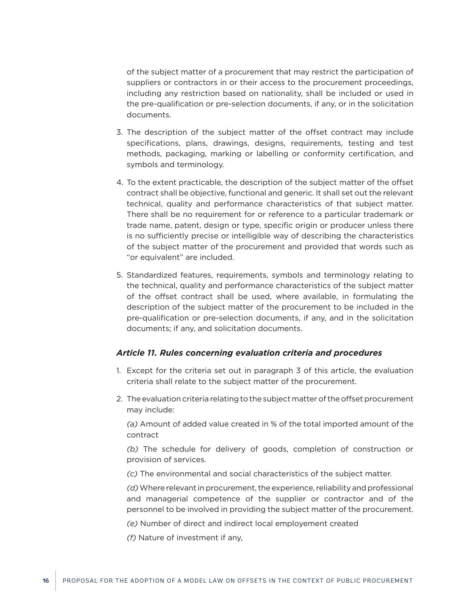<span id="page-15-0"></span>of the subject matter of a procurement that may restrict the participation of suppliers or contractors in or their access to the procurement proceedings, including any restriction based on nationality, shall be included or used in the pre-qualification or pre-selection documents, if any, or in the solicitation documents.

- 3. The description of the subject matter of the offset contract may include specifications, plans, drawings, designs, requirements, testing and test methods, packaging, marking or labelling or conformity certification, and symbols and terminology.
- 4. To the extent practicable, the description of the subject matter of the offset contract shall be objective, functional and generic. It shall set out the relevant technical, quality and performance characteristics of that subject matter. There shall be no requirement for or reference to a particular trademark or trade name, patent, design or type, specific origin or producer unless there is no sufficiently precise or intelligible way of describing the characteristics of the subject matter of the procurement and provided that words such as "or equivalent" are included.
- 5. Standardized features, requirements, symbols and terminology relating to the technical, quality and performance characteristics of the subject matter of the offset contract shall be used, where available, in formulating the description of the subject matter of the procurement to be included in the pre-qualification or pre-selection documents, if any, and in the solicitation documents; if any, and solicitation documents.

#### *Article 11. Rules concerning evaluation criteria and procedures*

- 1. Except for the criteria set out in paragraph 3 of this article, the evaluation criteria shall relate to the subject matter of the procurement.
- 2. The evaluation criteria relating to the subject matter of the offset procurement may include:

*(a)* Amount of added value created in % of the total imported amount of the contract

*(b)* The schedule for delivery of goods, completion of construction or provision of services.

*(c)* The environmental and social characteristics of the subject matter.

*(d)* Where relevant in procurement, the experience, reliability and professional and managerial competence of the supplier or contractor and of the personnel to be involved in providing the subject matter of the procurement.

*(e)* Number of direct and indirect local employement created

*(f)* Nature of investment if any,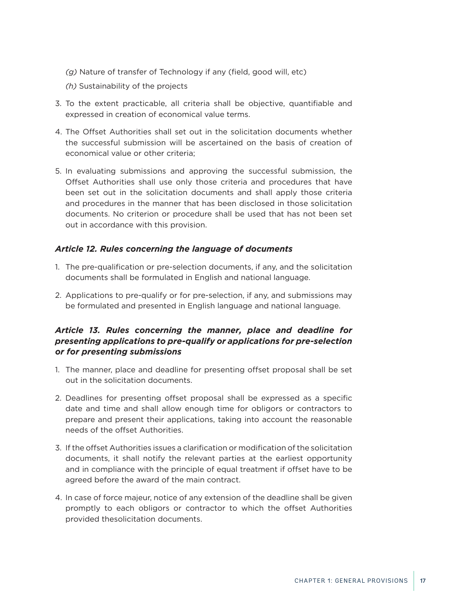- <span id="page-16-0"></span>*(g)* Nature of transfer of Technology if any (field, good will, etc)
- *(h)* Sustainability of the projects
- 3. To the extent practicable, all criteria shall be objective, quantifiable and expressed in creation of economical value terms.
- 4. The Offset Authorities shall set out in the solicitation documents whether the successful submission will be ascertained on the basis of creation of economical value or other criteria;
- 5. In evaluating submissions and approving the successful submission, the Offset Authorities shall use only those criteria and procedures that have been set out in the solicitation documents and shall apply those criteria and procedures in the manner that has been disclosed in those solicitation documents. No criterion or procedure shall be used that has not been set out in accordance with this provision.

## *Article 12. Rules concerning the language of documents*

- 1. The pre-qualification or pre-selection documents, if any, and the solicitation documents shall be formulated in English and national language.
- 2. Applications to pre-qualify or for pre-selection, if any, and submissions may be formulated and presented in English language and national language.

## *Article 13. Rules concerning the manner, place and deadline for presenting applications to pre-qualify or applications for pre-selection or for presenting submissions*

- 1. The manner, place and deadline for presenting offset proposal shall be set out in the solicitation documents.
- 2. Deadlines for presenting offset proposal shall be expressed as a specific date and time and shall allow enough time for obligors or contractors to prepare and present their applications, taking into account the reasonable needs of the offset Authorities.
- 3. If the offset Authorities issues a clarification or modification of the solicitation documents, it shall notify the relevant parties at the earliest opportunity and in compliance with the principle of equal treatment if offset have to be agreed before the award of the main contract.
- 4. In case of force majeur, notice of any extension of the deadline shall be given promptly to each obligors or contractor to which the offset Authorities provided thesolicitation documents.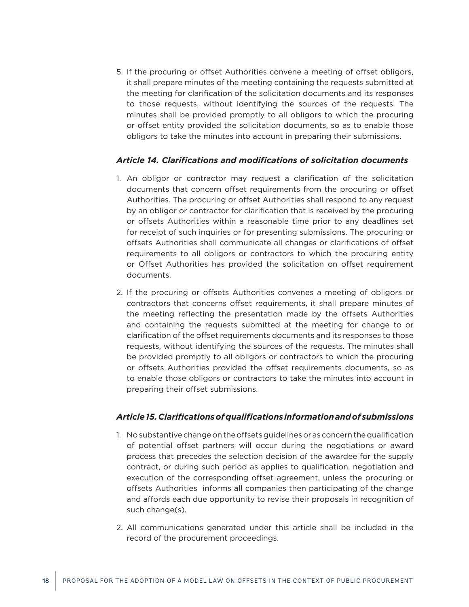<span id="page-17-0"></span>5. If the procuring or offset Authorities convene a meeting of offset obligors, it shall prepare minutes of the meeting containing the requests submitted at the meeting for clarification of the solicitation documents and its responses to those requests, without identifying the sources of the requests. The minutes shall be provided promptly to all obligors to which the procuring or offset entity provided the solicitation documents, so as to enable those obligors to take the minutes into account in preparing their submissions.

### *Article 14. Clarifications and modifications of solicitation documents*

- 1. An obligor or contractor may request a clarification of the solicitation documents that concern offset requirements from the procuring or offset Authorities. The procuring or offset Authorities shall respond to any request by an obligor or contractor for clarification that is received by the procuring or offsets Authorities within a reasonable time prior to any deadlines set for receipt of such inquiries or for presenting submissions. The procuring or offsets Authorities shall communicate all changes or clarifications of offset requirements to all obligors or contractors to which the procuring entity or Offset Authorities has provided the solicitation on offset requirement documents.
- 2. If the procuring or offsets Authorities convenes a meeting of obligors or contractors that concerns offset requirements, it shall prepare minutes of the meeting reflecting the presentation made by the offsets Authorities and containing the requests submitted at the meeting for change to or clarification of the offset requirements documents and its responses to those requests, without identifying the sources of the requests. The minutes shall be provided promptly to all obligors or contractors to which the procuring or offsets Authorities provided the offset requirements documents, so as to enable those obligors or contractors to take the minutes into account in preparing their offset submissions.

#### *Article 15. Clarifications of qualifications information and of submissions*

- 1. No substantive change on the offsets guidelines or as concern the qualification of potential offset partners will occur during the negotiations or award process that precedes the selection decision of the awardee for the supply contract, or during such period as applies to qualification, negotiation and execution of the corresponding offset agreement, unless the procuring or offsets Authorities informs all companies then participating of the change and affords each due opportunity to revise their proposals in recognition of such change(s).
- 2. All communications generated under this article shall be included in the record of the procurement proceedings.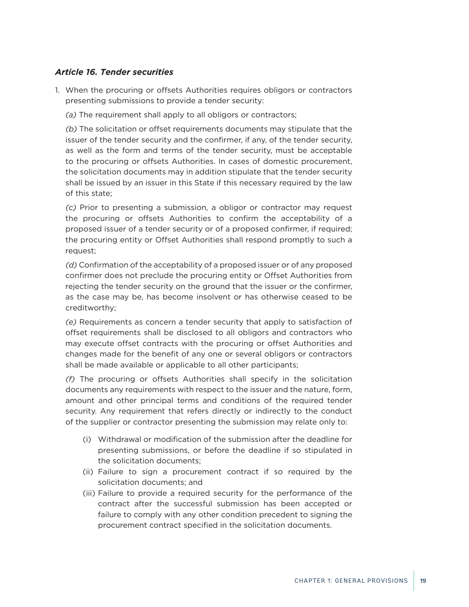## <span id="page-18-0"></span>*Article 16. Tender securities*

- 1. When the procuring or offsets Authorities requires obligors or contractors presenting submissions to provide a tender security:
	- *(a)* The requirement shall apply to all obligors or contractors;

*(b)* The solicitation or offset requirements documents may stipulate that the issuer of the tender security and the confirmer, if any, of the tender security, as well as the form and terms of the tender security, must be acceptable to the procuring or offsets Authorities. In cases of domestic procurement, the solicitation documents may in addition stipulate that the tender security shall be issued by an issuer in this State if this necessary required by the law of this state;

*(c)* Prior to presenting a submission, a obligor or contractor may request the procuring or offsets Authorities to confirm the acceptability of a proposed issuer of a tender security or of a proposed confirmer, if required; the procuring entity or Offset Authorities shall respond promptly to such a request;

*(d)* Confirmation of the acceptability of a proposed issuer or of any proposed confirmer does not preclude the procuring entity or Offset Authorities from rejecting the tender security on the ground that the issuer or the confirmer, as the case may be, has become insolvent or has otherwise ceased to be creditworthy;

*(e)* Requirements as concern a tender security that apply to satisfaction of offset requirements shall be disclosed to all obligors and contractors who may execute offset contracts with the procuring or offset Authorities and changes made for the benefit of any one or several obligors or contractors shall be made available or applicable to all other participants;

*(f)* The procuring or offsets Authorities shall specify in the solicitation documents any requirements with respect to the issuer and the nature, form, amount and other principal terms and conditions of the required tender security. Any requirement that refers directly or indirectly to the conduct of the supplier or contractor presenting the submission may relate only to:

- (i) Withdrawal or modification of the submission after the deadline for presenting submissions, or before the deadline if so stipulated in the solicitation documents;
- (ii) Failure to sign a procurement contract if so required by the solicitation documents; and
- (iii) Failure to provide a required security for the performance of the contract after the successful submission has been accepted or failure to comply with any other condition precedent to signing the procurement contract specified in the solicitation documents.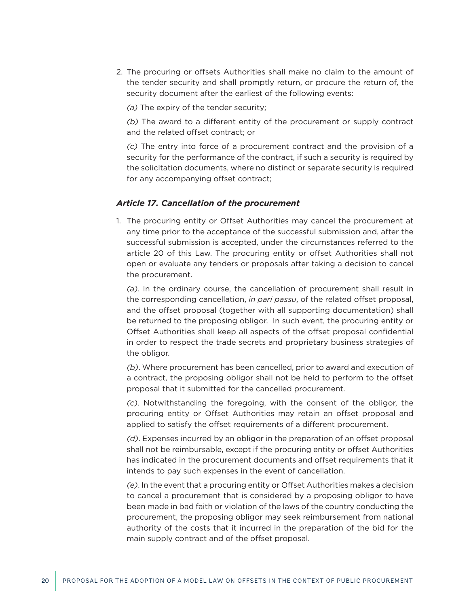<span id="page-19-0"></span>2. The procuring or offsets Authorities shall make no claim to the amount of the tender security and shall promptly return, or procure the return of, the security document after the earliest of the following events:

*(a)* The expiry of the tender security;

*(b)* The award to a different entity of the procurement or supply contract and the related offset contract; or

*(c)* The entry into force of a procurement contract and the provision of a security for the performance of the contract, if such a security is required by the solicitation documents, where no distinct or separate security is required for any accompanying offset contract;

#### *Article 17. Cancellation of the procurement*

1. The procuring entity or Offset Authorities may cancel the procurement at any time prior to the acceptance of the successful submission and, after the successful submission is accepted, under the circumstances referred to the article 20 of this Law. The procuring entity or offset Authorities shall not open or evaluate any tenders or proposals after taking a decision to cancel the procurement.

*(a)*. In the ordinary course, the cancellation of procurement shall result in the corresponding cancellation, *in pari passu*, of the related offset proposal, and the offset proposal (together with all supporting documentation) shall be returned to the proposing obligor. In such event, the procuring entity or Offset Authorities shall keep all aspects of the offset proposal confidential in order to respect the trade secrets and proprietary business strategies of the obligor.

*(b)*. Where procurement has been cancelled, prior to award and execution of a contract, the proposing obligor shall not be held to perform to the offset proposal that it submitted for the cancelled procurement.

*(c)*. Notwithstanding the foregoing, with the consent of the obligor, the procuring entity or Offset Authorities may retain an offset proposal and applied to satisfy the offset requirements of a different procurement.

*(d)*. Expenses incurred by an obligor in the preparation of an offset proposal shall not be reimbursable, except if the procuring entity or offset Authorities has indicated in the procurement documents and offset requirements that it intends to pay such expenses in the event of cancellation.

*(e)*. In the event that a procuring entity or Offset Authorities makes a decision to cancel a procurement that is considered by a proposing obligor to have been made in bad faith or violation of the laws of the country conducting the procurement, the proposing obligor may seek reimbursement from national authority of the costs that it incurred in the preparation of the bid for the main supply contract and of the offset proposal.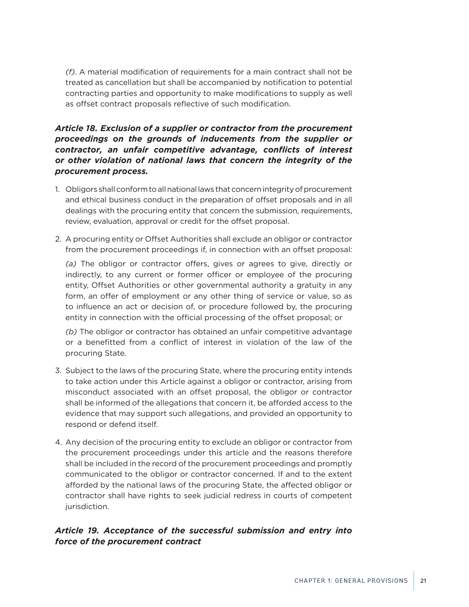<span id="page-20-0"></span>*(f)*. A material modification of requirements for a main contract shall not be treated as cancellation but shall be accompanied by notification to potential contracting parties and opportunity to make modifications to supply as well as offset contract proposals reflective of such modification.

## *Article 18. Exclusion of a supplier or contractor from the procurement proceedings on the grounds of inducements from the supplier or contractor, an unfair competitive advantage, conflicts of interest or other violation of national laws that concern the integrity of the procurement process.*

- 1. Obligors shall conform to all national laws that concern integrity of procurement and ethical business conduct in the preparation of offset proposals and in all dealings with the procuring entity that concern the submission, requirements, review, evaluation, approval or credit for the offset proposal.
- 2. A procuring entity or Offset Authorities shall exclude an obligor or contractor from the procurement proceedings if, in connection with an offset proposal:

*(a)* The obligor or contractor offers, gives or agrees to give, directly or indirectly, to any current or former officer or employee of the procuring entity, Offset Authorities or other governmental authority a gratuity in any form, an offer of employment or any other thing of service or value, so as to influence an act or decision of, or procedure followed by, the procuring entity in connection with the official processing of the offset proposal; or

*(b)* The obligor or contractor has obtained an unfair competitive advantage or a benefitted from a conflict of interest in violation of the law of the procuring State.

- 3. Subject to the laws of the procuring State, where the procuring entity intends to take action under this Article against a obligor or contractor, arising from misconduct associated with an offset proposal, the obligor or contractor shall be informed of the allegations that concern it, be afforded access to the evidence that may support such allegations, and provided an opportunity to respond or defend itself.
- 4. Any decision of the procuring entity to exclude an obligor or contractor from the procurement proceedings under this article and the reasons therefore shall be included in the record of the procurement proceedings and promptly communicated to the obligor or contractor concerned. If and to the extent afforded by the national laws of the procuring State, the affected obligor or contractor shall have rights to seek judicial redress in courts of competent jurisdiction.

## *Article 19. Acceptance of the successful submission and entry into force of the procurement contract*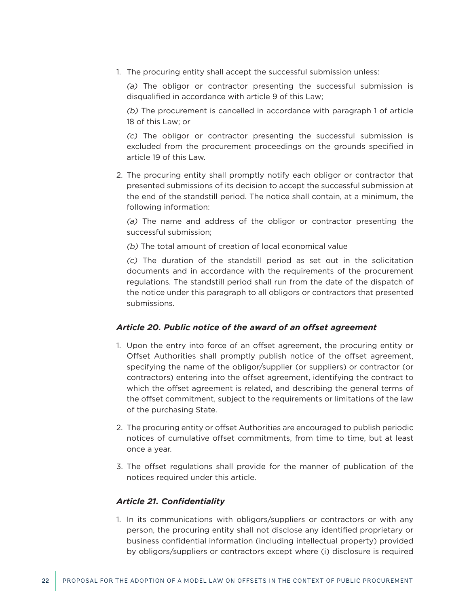<span id="page-21-0"></span>1. The procuring entity shall accept the successful submission unless:

*(a)* The obligor or contractor presenting the successful submission is disqualified in accordance with article 9 of this Law;

*(b)* The procurement is cancelled in accordance with paragraph 1 of article 18 of this Law; or

*(c)* The obligor or contractor presenting the successful submission is excluded from the procurement proceedings on the grounds specified in article 19 of this Law.

2. The procuring entity shall promptly notify each obligor or contractor that presented submissions of its decision to accept the successful submission at the end of the standstill period. The notice shall contain, at a minimum, the following information:

*(a)* The name and address of the obligor or contractor presenting the successful submission;

*(b)* The total amount of creation of local economical value

*(c)* The duration of the standstill period as set out in the solicitation documents and in accordance with the requirements of the procurement regulations. The standstill period shall run from the date of the dispatch of the notice under this paragraph to all obligors or contractors that presented submissions.

### *Article 20. Public notice of the award of an offset agreement*

- 1. Upon the entry into force of an offset agreement, the procuring entity or Offset Authorities shall promptly publish notice of the offset agreement, specifying the name of the obligor/supplier (or suppliers) or contractor (or contractors) entering into the offset agreement, identifying the contract to which the offset agreement is related, and describing the general terms of the offset commitment, subject to the requirements or limitations of the law of the purchasing State.
- 2. The procuring entity or offset Authorities are encouraged to publish periodic notices of cumulative offset commitments, from time to time, but at least once a year.
- 3. The offset regulations shall provide for the manner of publication of the notices required under this article.

### *Article 21. Confidentiality*

1. In its communications with obligors/suppliers or contractors or with any person, the procuring entity shall not disclose any identified proprietary or business confidential information (including intellectual property) provided by obligors/suppliers or contractors except where (i) disclosure is required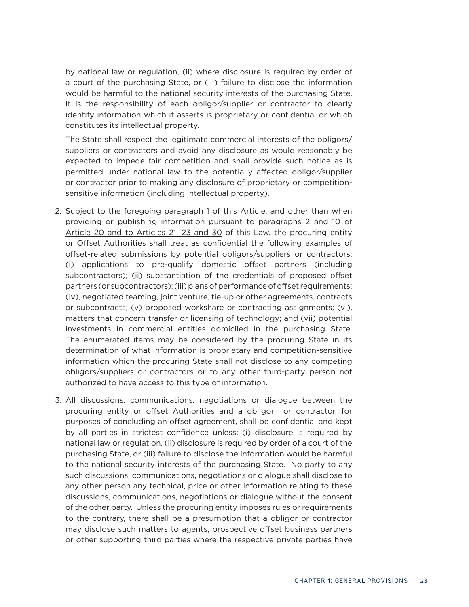<span id="page-22-0"></span>by national law or regulation, (ii) where disclosure is required by order of a court of the purchasing State, or (iii) failure to disclose the information would be harmful to the national security interests of the purchasing State. It is the responsibility of each obligor/supplier or contractor to clearly identify information which it asserts is proprietary or confidential or which constitutes its intellectual property.

The State shall respect the legitimate commercial interests of the obligors/ suppliers or contractors and avoid any disclosure as would reasonably be expected to impede fair competition and shall provide such notice as is permitted under national law to the potentially affected obligor/supplier or contractor prior to making any disclosure of proprietary or competitionsensitive information (including intellectual property).

- 2. Subject to the foregoing paragraph 1 of this Article, and other than when providing or publishing information pursuant to paragraphs 2 and 10 of Article 20 and to Articles 21, 23 and 30 of this Law, the procuring entity or Offset Authorities shall treat as confidential the following examples of offset-related submissions by potential obligors/suppliers or contractors: (i) applications to pre-qualify domestic offset partners (including subcontractors); (ii) substantiation of the credentials of proposed offset partners (or subcontractors); (iii) plans of performance of offset requirements; (iv), negotiated teaming, joint venture, tie-up or other agreements, contracts or subcontracts; (v) proposed workshare or contracting assignments; (vi), matters that concern transfer or licensing of technology; and (vii) potential investments in commercial entities domiciled in the purchasing State. The enumerated items may be considered by the procuring State in its determination of what information is proprietary and competition-sensitive information which the procuring State shall not disclose to any competing obligors/suppliers or contractors or to any other third-party person not authorized to have access to this type of information.
- 3. All discussions, communications, negotiations or dialogue between the procuring entity or offset Authorities and a obligor or contractor, for purposes of concluding an offset agreement, shall be confidential and kept by all parties in strictest confidence unless: (i) disclosure is required by national law or regulation, (ii) disclosure is required by order of a court of the purchasing State, or (iii) failure to disclose the information would be harmful to the national security interests of the purchasing State. No party to any such discussions, communications, negotiations or dialogue shall disclose to any other person any technical, price or other information relating to these discussions, communications, negotiations or dialogue without the consent of the other party. Unless the procuring entity imposes rules or requirements to the contrary, there shall be a presumption that a obligor or contractor may disclose such matters to agents, prospective offset business partners or other supporting third parties where the respective private parties have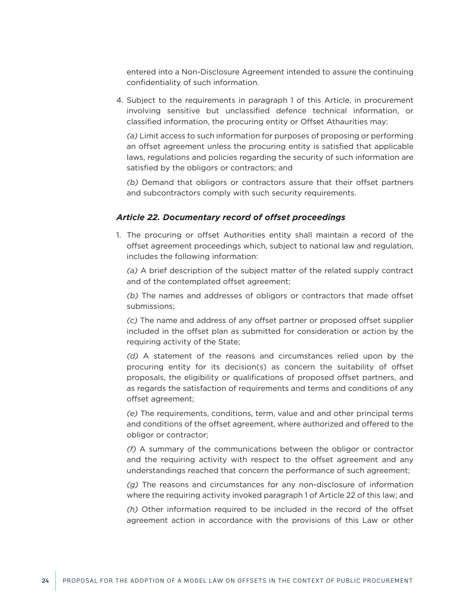<span id="page-23-0"></span>entered into a Non-Disclosure Agreement intended to assure the continuing confidentiality of such information.

4. Subject to the requirements in paragraph 1 of this Article, in procurement involving sensitive but unclassified defence technical information, or classified information, the procuring entity or Offset Athaurities may:

*(a)* Limit access to such information for purposes of proposing or performing an offset agreement unless the procuring entity is satisfied that applicable laws, regulations and policies regarding the security of such information are satisfied by the obligors or contractors; and

*(b)* Demand that obligors or contractors assure that their offset partners and subcontractors comply with such security requirements.

#### *Article 22. Documentary record of offset proceedings*

1. The procuring or offset Authorities entity shall maintain a record of the offset agreement proceedings which, subject to national law and regulation, includes the following information:

*(a)* A brief description of the subject matter of the related supply contract and of the contemplated offset agreement;

*(b)* The names and addresses of obligors or contractors that made offset submissions;

*(c)* The name and address of any offset partner or proposed offset supplier included in the offset plan as submitted for consideration or action by the requiring activity of the State;

*(d)* A statement of the reasons and circumstances relied upon by the procuring entity for its decision(s) as concern the suitability of offset proposals, the eligibility or qualifications of proposed offset partners, and as regards the satisfaction of requirements and terms and conditions of any offset agreement;

*(e)* The requirements, conditions, term, value and and other principal terms and conditions of the offset agreement, where authorized and offered to the obligor or contractor;

*(f)* A summary of the communications between the obligor or contractor and the requiring activity with respect to the offset agreement and any understandings reached that concern the performance of such agreement;

*(g)* The reasons and circumstances for any non-disclosure of information where the requiring activity invoked paragraph 1 of Article 22 of this law; and

*(h)* Other information required to be included in the record of the offset agreement action in accordance with the provisions of this Law or other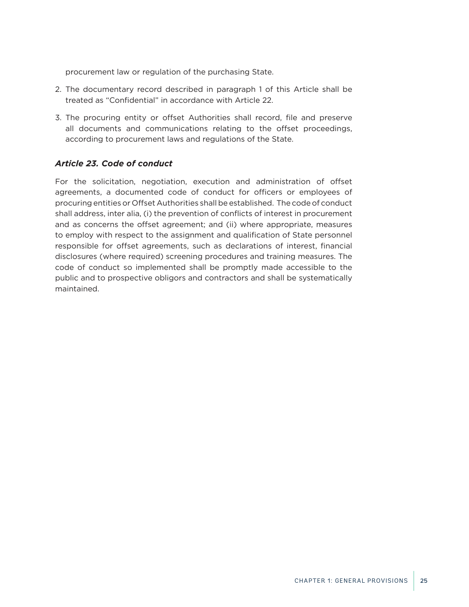<span id="page-24-0"></span>procurement law or regulation of the purchasing State.

- 2. The documentary record described in paragraph 1 of this Article shall be treated as "Confidential" in accordance with Article 22.
- 3. The procuring entity or offset Authorities shall record, file and preserve all documents and communications relating to the offset proceedings, according to procurement laws and regulations of the State.

## *Article 23. Code of conduct*

For the solicitation, negotiation, execution and administration of offset agreements, a documented code of conduct for officers or employees of procuring entities or Offset Authorities shall be established. The code of conduct shall address, inter alia, (i) the prevention of conflicts of interest in procurement and as concerns the offset agreement; and (ii) where appropriate, measures to employ with respect to the assignment and qualification of State personnel responsible for offset agreements, such as declarations of interest, financial disclosures (where required) screening procedures and training measures. The code of conduct so implemented shall be promptly made accessible to the public and to prospective obligors and contractors and shall be systematically maintained.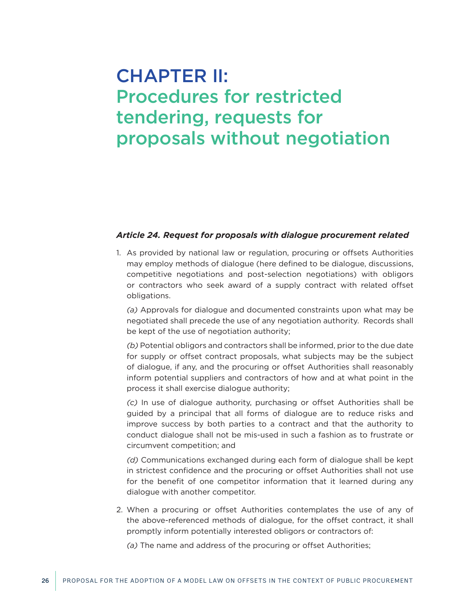## <span id="page-25-0"></span>CHAPTER II: Procedures for restricted tendering, requests for proposals without negotiation

### *Article 24. Request for proposals with dialogue procurement related*

1. As provided by national law or regulation, procuring or offsets Authorities may employ methods of dialogue (here defined to be dialogue, discussions, competitive negotiations and post-selection negotiations) with obligors or contractors who seek award of a supply contract with related offset obligations.

*(a)* Approvals for dialogue and documented constraints upon what may be negotiated shall precede the use of any negotiation authority. Records shall be kept of the use of negotiation authority;

*(b)* Potential obligors and contractors shall be informed, prior to the due date for supply or offset contract proposals, what subjects may be the subject of dialogue, if any, and the procuring or offset Authorities shall reasonably inform potential suppliers and contractors of how and at what point in the process it shall exercise dialogue authority;

*(c)* In use of dialogue authority, purchasing or offset Authorities shall be guided by a principal that all forms of dialogue are to reduce risks and improve success by both parties to a contract and that the authority to conduct dialogue shall not be mis-used in such a fashion as to frustrate or circumvent competition; and

*(d)* Communications exchanged during each form of dialogue shall be kept in strictest confidence and the procuring or offset Authorities shall not use for the benefit of one competitor information that it learned during any dialogue with another competitor.

2. When a procuring or offset Authorities contemplates the use of any of the above-referenced methods of dialogue, for the offset contract, it shall promptly inform potentially interested obligors or contractors of:

*(a)* The name and address of the procuring or offset Authorities;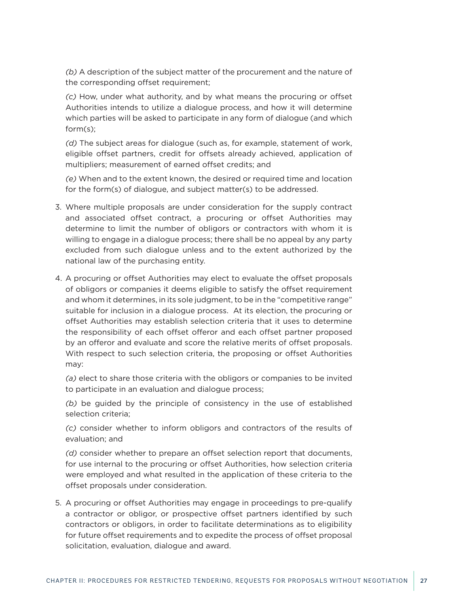*(b)* A description of the subject matter of the procurement and the nature of the corresponding offset requirement;

*(c)* How, under what authority, and by what means the procuring or offset Authorities intends to utilize a dialogue process, and how it will determine which parties will be asked to participate in any form of dialogue (and which form(s);

*(d)* The subject areas for dialogue (such as, for example, statement of work, eligible offset partners, credit for offsets already achieved, application of multipliers; measurement of earned offset credits; and

*(e)* When and to the extent known, the desired or required time and location for the form(s) of dialogue, and subject matter(s) to be addressed.

- 3. Where multiple proposals are under consideration for the supply contract and associated offset contract, a procuring or offset Authorities may determine to limit the number of obligors or contractors with whom it is willing to engage in a dialogue process; there shall be no appeal by any party excluded from such dialogue unless and to the extent authorized by the national law of the purchasing entity.
- 4. A procuring or offset Authorities may elect to evaluate the offset proposals of obligors or companies it deems eligible to satisfy the offset requirement and whom it determines, in its sole judgment, to be in the "competitive range" suitable for inclusion in a dialogue process. At its election, the procuring or offset Authorities may establish selection criteria that it uses to determine the responsibility of each offset offeror and each offset partner proposed by an offeror and evaluate and score the relative merits of offset proposals. With respect to such selection criteria, the proposing or offset Authorities may:

*(a)* elect to share those criteria with the obligors or companies to be invited to participate in an evaluation and dialogue process;

*(b)* be guided by the principle of consistency in the use of established selection criteria;

*(c)* consider whether to inform obligors and contractors of the results of evaluation; and

*(d)* consider whether to prepare an offset selection report that documents, for use internal to the procuring or offset Authorities, how selection criteria were employed and what resulted in the application of these criteria to the offset proposals under consideration.

5. A procuring or offset Authorities may engage in proceedings to pre-qualify a contractor or obligor, or prospective offset partners identified by such contractors or obligors, in order to facilitate determinations as to eligibility for future offset requirements and to expedite the process of offset proposal solicitation, evaluation, dialogue and award.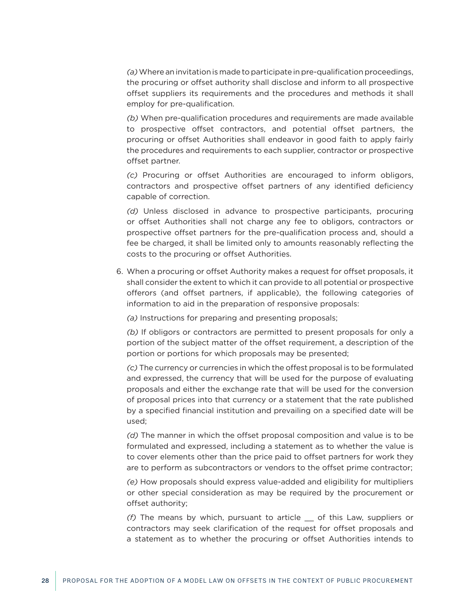*(a)* Where an invitation is made to participate in pre-qualification proceedings, the procuring or offset authority shall disclose and inform to all prospective offset suppliers its requirements and the procedures and methods it shall employ for pre-qualification.

*(b)* When pre-qualification procedures and requirements are made available to prospective offset contractors, and potential offset partners, the procuring or offset Authorities shall endeavor in good faith to apply fairly the procedures and requirements to each supplier, contractor or prospective offset partner.

*(c)* Procuring or offset Authorities are encouraged to inform obligors, contractors and prospective offset partners of any identified deficiency capable of correction.

*(d)* Unless disclosed in advance to prospective participants, procuring or offset Authorities shall not charge any fee to obligors, contractors or prospective offset partners for the pre-qualification process and, should a fee be charged, it shall be limited only to amounts reasonably reflecting the costs to the procuring or offset Authorities.

6. When a procuring or offset Authority makes a request for offset proposals, it shall consider the extent to which it can provide to all potential or prospective offerors (and offset partners, if applicable), the following categories of information to aid in the preparation of responsive proposals:

*(a)* Instructions for preparing and presenting proposals;

*(b)* If obligors or contractors are permitted to present proposals for only a portion of the subject matter of the offset requirement, a description of the portion or portions for which proposals may be presented;

*(c)* The currency or currencies in which the offest proposal is to be formulated and expressed, the currency that will be used for the purpose of evaluating proposals and either the exchange rate that will be used for the conversion of proposal prices into that currency or a statement that the rate published by a specified financial institution and prevailing on a specified date will be used;

*(d)* The manner in which the offset proposal composition and value is to be formulated and expressed, including a statement as to whether the value is to cover elements other than the price paid to offset partners for work they are to perform as subcontractors or vendors to the offset prime contractor;

*(e)* How proposals should express value-added and eligibility for multipliers or other special consideration as may be required by the procurement or offset authority;

*(f)* The means by which, pursuant to article \_\_ of this Law, suppliers or contractors may seek clarification of the request for offset proposals and a statement as to whether the procuring or offset Authorities intends to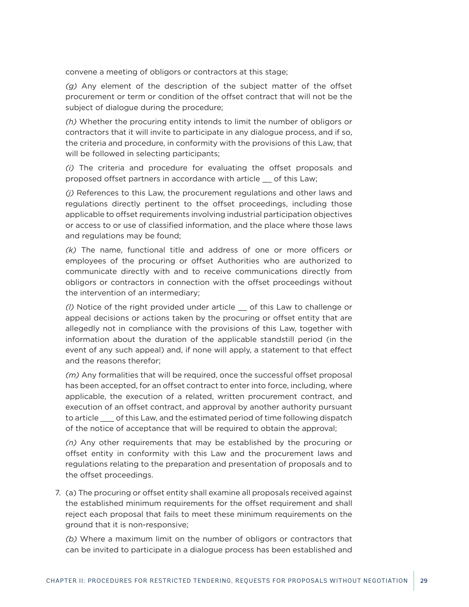convene a meeting of obligors or contractors at this stage;

*(g)* Any element of the description of the subject matter of the offset procurement or term or condition of the offset contract that will not be the subject of dialogue during the procedure;

*(h)* Whether the procuring entity intends to limit the number of obligors or contractors that it will invite to participate in any dialogue process, and if so, the criteria and procedure, in conformity with the provisions of this Law, that will be followed in selecting participants;

*(i)* The criteria and procedure for evaluating the offset proposals and proposed offset partners in accordance with article \_\_ of this Law;

*(j)* References to this Law, the procurement regulations and other laws and regulations directly pertinent to the offset proceedings, including those applicable to offset requirements involving industrial participation objectives or access to or use of classified information, and the place where those laws and regulations may be found;

*(k)* The name, functional title and address of one or more officers or employees of the procuring or offset Authorities who are authorized to communicate directly with and to receive communications directly from obligors or contractors in connection with the offset proceedings without the intervention of an intermediary;

*(l)* Notice of the right provided under article \_\_ of this Law to challenge or appeal decisions or actions taken by the procuring or offset entity that are allegedly not in compliance with the provisions of this Law, together with information about the duration of the applicable standstill period (in the event of any such appeal) and, if none will apply, a statement to that effect and the reasons therefor;

*(m)* Any formalities that will be required, once the successful offset proposal has been accepted, for an offset contract to enter into force, including, where applicable, the execution of a related, written procurement contract, and execution of an offset contract, and approval by another authority pursuant to article \_\_\_ of this Law, and the estimated period of time following dispatch of the notice of acceptance that will be required to obtain the approval;

*(n)* Any other requirements that may be established by the procuring or offset entity in conformity with this Law and the procurement laws and regulations relating to the preparation and presentation of proposals and to the offset proceedings.

7. (a) The procuring or offset entity shall examine all proposals received against the established minimum requirements for the offset requirement and shall reject each proposal that fails to meet these minimum requirements on the ground that it is non-responsive;

*(b)* Where a maximum limit on the number of obligors or contractors that can be invited to participate in a dialogue process has been established and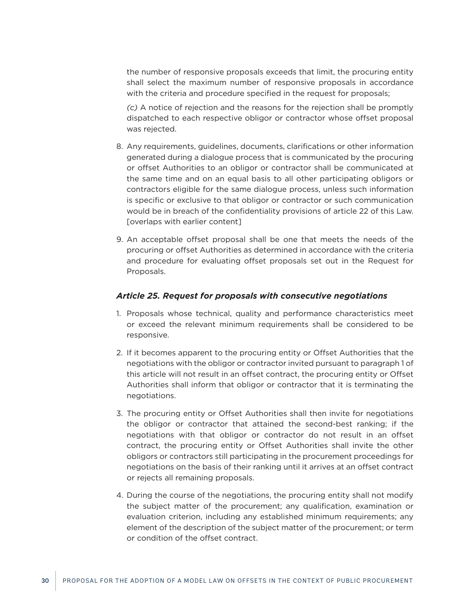<span id="page-29-0"></span>the number of responsive proposals exceeds that limit, the procuring entity shall select the maximum number of responsive proposals in accordance with the criteria and procedure specified in the request for proposals;

*(c)* A notice of rejection and the reasons for the rejection shall be promptly dispatched to each respective obligor or contractor whose offset proposal was rejected.

- 8. Any requirements, guidelines, documents, clarifications or other information generated during a dialogue process that is communicated by the procuring or offset Authorities to an obligor or contractor shall be communicated at the same time and on an equal basis to all other participating obligors or contractors eligible for the same dialogue process, unless such information is specific or exclusive to that obligor or contractor or such communication would be in breach of the confidentiality provisions of article 22 of this Law. [overlaps with earlier content]
- 9. An acceptable offset proposal shall be one that meets the needs of the procuring or offset Authorities as determined in accordance with the criteria and procedure for evaluating offset proposals set out in the Request for Proposals.

#### *Article 25. Request for proposals with consecutive negotiations*

- 1. Proposals whose technical, quality and performance characteristics meet or exceed the relevant minimum requirements shall be considered to be responsive.
- 2. If it becomes apparent to the procuring entity or Offset Authorities that the negotiations with the obligor or contractor invited pursuant to paragraph 1 of this article will not result in an offset contract, the procuring entity or Offset Authorities shall inform that obligor or contractor that it is terminating the negotiations.
- 3. The procuring entity or Offset Authorities shall then invite for negotiations the obligor or contractor that attained the second-best ranking; if the negotiations with that obligor or contractor do not result in an offset contract, the procuring entity or Offset Authorities shall invite the other obligors or contractors still participating in the procurement proceedings for negotiations on the basis of their ranking until it arrives at an offset contract or rejects all remaining proposals.
- 4. During the course of the negotiations, the procuring entity shall not modify the subject matter of the procurement; any qualification, examination or evaluation criterion, including any established minimum requirements; any element of the description of the subject matter of the procurement; or term or condition of the offset contract.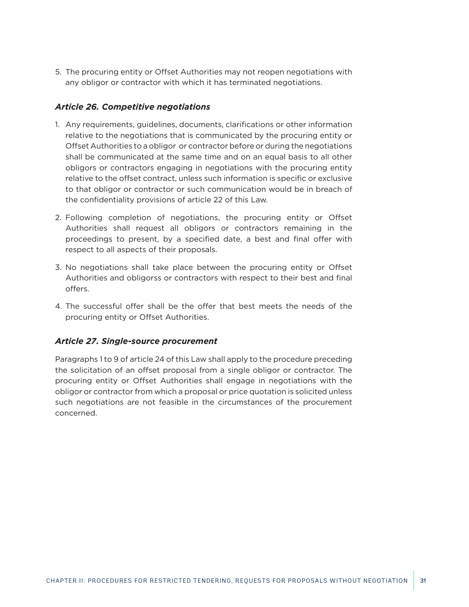<span id="page-30-0"></span>5. The procuring entity or Offset Authorities may not reopen negotiations with any obligor or contractor with which it has terminated negotiations.

### *Article 26. Competitive negotiations*

- 1. Any requirements, guidelines, documents, clarifications or other information relative to the negotiations that is communicated by the procuring entity or Offset Authorities to a obligor or contractor before or during the negotiations shall be communicated at the same time and on an equal basis to all other obligors or contractors engaging in negotiations with the procuring entity relative to the offset contract, unless such information is specific or exclusive to that obligor or contractor or such communication would be in breach of the confidentiality provisions of article 22 of this Law.
- 2. Following completion of negotiations, the procuring entity or Offset Authorities shall request all obligors or contractors remaining in the proceedings to present, by a specified date, a best and final offer with respect to all aspects of their proposals.
- 3. No negotiations shall take place between the procuring entity or Offset Authorities and obligorss or contractors with respect to their best and final offers.
- 4. The successful offer shall be the offer that best meets the needs of the procuring entity or Offset Authorities.

### *Article 27. Single-source procurement*

Paragraphs 1 to 9 of article 24 of this Law shall apply to the procedure preceding the solicitation of an offset proposal from a single obligor or contractor. The procuring entity or Offset Authorities shall engage in negotiations with the obligor or contractor from which a proposal or price quotation is solicited unless such negotiations are not feasible in the circumstances of the procurement concerned.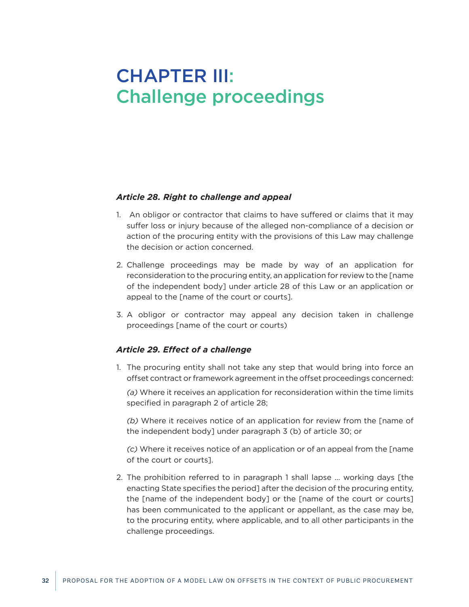## <span id="page-31-0"></span>CHAPTER III: Challenge proceedings

#### *Article 28. Right to challenge and appeal*

- 1. An obligor or contractor that claims to have suffered or claims that it may suffer loss or injury because of the alleged non-compliance of a decision or action of the procuring entity with the provisions of this Law may challenge the decision or action concerned.
- 2. Challenge proceedings may be made by way of an application for reconsideration to the procuring entity, an application for review to the [name of the independent body] under article 28 of this Law or an application or appeal to the [name of the court or courts].
- 3. A obligor or contractor may appeal any decision taken in challenge proceedings [name of the court or courts)

### *Article 29. Effect of a challenge*

1. The procuring entity shall not take any step that would bring into force an offset contract or framework agreement in the offset proceedings concerned:

*(a)* Where it receives an application for reconsideration within the time limits specified in paragraph 2 of article 28;

*(b)* Where it receives notice of an application for review from the [name of the independent body] under paragraph 3 (b) of article 30; or

*(c)* Where it receives notice of an application or of an appeal from the [name of the court or courts].

2. The prohibition referred to in paragraph 1 shall lapse … working days [the enacting State specifies the period] after the decision of the procuring entity, the [name of the independent body] or the [name of the court or courts] has been communicated to the applicant or appellant, as the case may be, to the procuring entity, where applicable, and to all other participants in the challenge proceedings.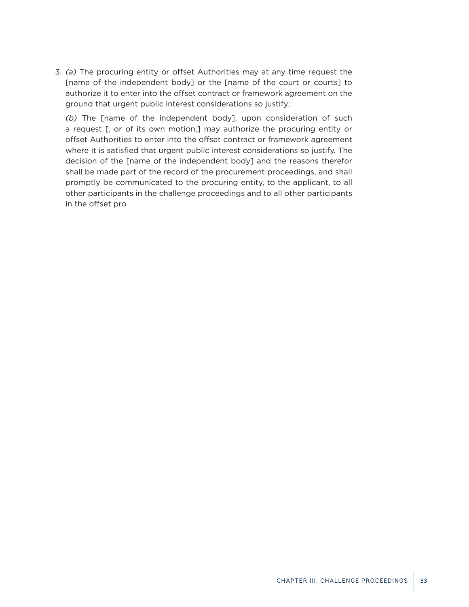3. *(a)* The procuring entity or offset Authorities may at any time request the [name of the independent body] or the [name of the court or courts] to authorize it to enter into the offset contract or framework agreement on the ground that urgent public interest considerations so justify;

*(b)* The [name of the independent body], upon consideration of such a request [, or of its own motion,] may authorize the procuring entity or offset Authorities to enter into the offset contract or framework agreement where it is satisfied that urgent public interest considerations so justify. The decision of the [name of the independent body] and the reasons therefor shall be made part of the record of the procurement proceedings, and shall promptly be communicated to the procuring entity, to the applicant, to all other participants in the challenge proceedings and to all other participants in the offset pro